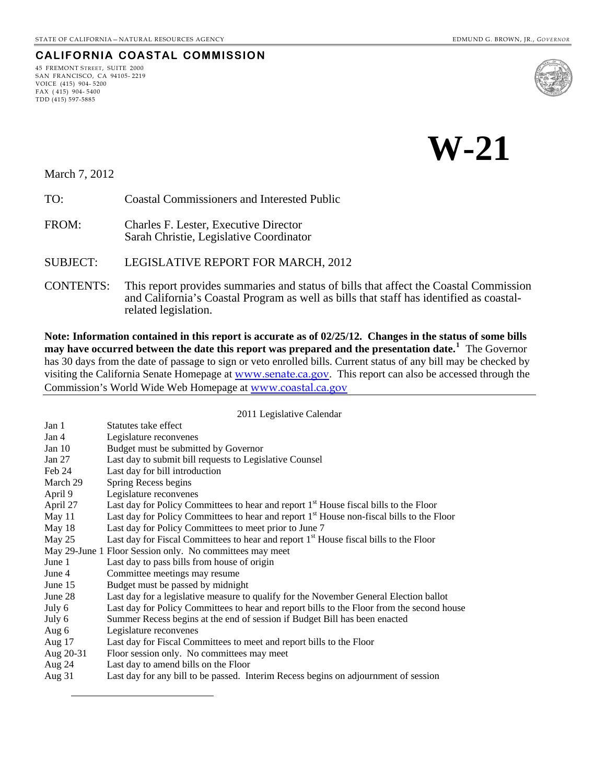# **CALIFORNIA COASTAL COMMISSION**

45 FREMONT STREET, SUITE 2000 SAN FRANCISCO, CA 94105- 2219 VOICE (415) 904- 5200 FAX ( 415) 904- 5400 TDD (415) 597-5885



# **W-21**

March 7, 2012

<span id="page-0-0"></span> $\overline{a}$ 

TO: Coastal Commissioners and Interested Public

FROM: Charles F. Lester, Executive Director Sarah Christie, Legislative Coordinator

SUBJECT: LEGISLATIVE REPORT FOR MARCH, 2012

CONTENTS: This report provides summaries and status of bills that affect the Coastal Commission and California's Coastal Program as well as bills that staff has identified as coastalrelated legislation.

**Note: Information contained in this report is accurate as of 02/25/12. Changes in the status of some bills may have occurred between the date this report was prepared and the presentation date.[1](#page-0-0)** The Governor has 30 days from the date of passage to sign or veto enrolled bills. Current status of any bill may be checked by visiting the California Senate Homepage at [www.senate.ca.gov](http://www.senate.ca.gov/). This report can also be accessed through the Commission's World Wide Web Homepage at [www.coastal.ca.gov](http://www.coastal.ca.gov/)

2011 Legislative Calendar

| Jan 1     | Statutes take effect                                                                                  |
|-----------|-------------------------------------------------------------------------------------------------------|
| Jan 4     | Legislature reconvenes                                                                                |
| Jan $10$  | Budget must be submitted by Governor                                                                  |
| Jan 27    | Last day to submit bill requests to Legislative Counsel                                               |
| Feb 24    | Last day for bill introduction                                                                        |
| March 29  | Spring Recess begins                                                                                  |
| April 9   | Legislature reconvenes                                                                                |
| April 27  | Last day for Policy Committees to hear and report 1 <sup>st</sup> House fiscal bills to the Floor     |
| May 11    | Last day for Policy Committees to hear and report 1 <sup>st</sup> House non-fiscal bills to the Floor |
| May 18    | Last day for Policy Committees to meet prior to June 7                                                |
| May 25    | Last day for Fiscal Committees to hear and report 1 <sup>st</sup> House fiscal bills to the Floor     |
|           | May 29-June 1 Floor Session only. No committees may meet                                              |
| June 1    | Last day to pass bills from house of origin                                                           |
| June 4    | Committee meetings may resume                                                                         |
| June 15   | Budget must be passed by midnight                                                                     |
| June 28   | Last day for a legislative measure to qualify for the November General Election ballot                |
| July 6    | Last day for Policy Committees to hear and report bills to the Floor from the second house            |
| July 6    | Summer Recess begins at the end of session if Budget Bill has been enacted                            |
| Aug 6     | Legislature reconvenes                                                                                |
| Aug $17$  | Last day for Fiscal Committees to meet and report bills to the Floor                                  |
| Aug 20-31 | Floor session only. No committees may meet                                                            |
| Aug 24    | Last day to amend bills on the Floor                                                                  |
| Aug $31$  | Last day for any bill to be passed. Interim Recess begins on adjournment of session                   |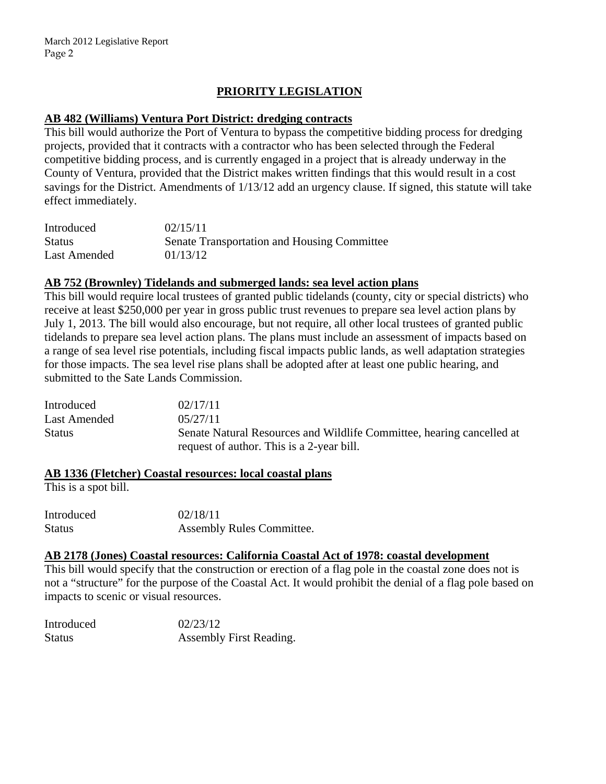## **PRIORITY LEGISLATION**

#### **AB 482 (Williams) Ventura Port District: dredging contracts**

This bill would authorize the Port of Ventura to bypass the competitive bidding process for dredging projects, provided that it contracts with a contractor who has been selected through the Federal competitive bidding process, and is currently engaged in a project that is already underway in the County of Ventura, provided that the District makes written findings that this would result in a cost savings for the District. Amendments of 1/13/12 add an urgency clause. If signed, this statute will take effect immediately.

| Introduced    | 02/15/11                                    |
|---------------|---------------------------------------------|
| <b>Status</b> | Senate Transportation and Housing Committee |
| Last Amended  | 01/13/12                                    |

#### **AB 752 (Brownley) Tidelands and submerged lands: sea level action plans**

This bill would require local trustees of granted public tidelands (county, city or special districts) who receive at least \$250,000 per year in gross public trust revenues to prepare sea level action plans by July 1, 2013. The bill would also encourage, but not require, all other local trustees of granted public tidelands to prepare sea level action plans. The plans must include an assessment of impacts based on a range of sea level rise potentials, including fiscal impacts public lands, as well adaptation strategies for those impacts. The sea level rise plans shall be adopted after at least one public hearing, and submitted to the Sate Lands Commission.

| Introduced    | 02/17/11                                                              |
|---------------|-----------------------------------------------------------------------|
| Last Amended  | 0.5/27/11                                                             |
| <b>Status</b> | Senate Natural Resources and Wildlife Committee, hearing cancelled at |
|               | request of author. This is a 2-year bill.                             |

#### **AB 1336 (Fletcher) Coastal resources: local coastal plans**

This is a spot bill.

Introduced 02/18/11 Status Assembly Rules Committee.

#### **AB 2178 (Jones) Coastal resources: California Coastal Act of 1978: coastal development**

This bill would specify that the construction or erection of a flag pole in the coastal zone does not is not a "structure" for the purpose of the Coastal Act. It would prohibit the denial of a flag pole based on impacts to scenic or visual resources.

| Introduced    | 02/23/12                |
|---------------|-------------------------|
| <b>Status</b> | Assembly First Reading. |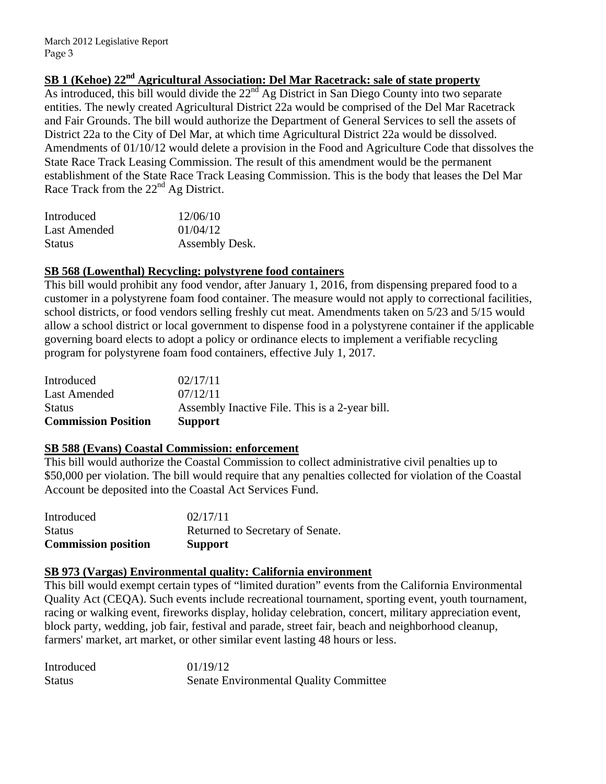# **SB 1 (Kehoe) 22nd Agricultural Association: Del Mar Racetrack: sale of state property**

As introduced, this bill would divide the  $22<sup>nd</sup>$  Ag District in San Diego County into two separate entities. The newly created Agricultural District 22a would be comprised of the Del Mar Racetrack and Fair Grounds. The bill would authorize the Department of General Services to sell the assets of District 22a to the City of Del Mar, at which time Agricultural District 22a would be dissolved. Amendments of 01/10/12 would delete a provision in the Food and Agriculture Code that dissolves the State Race Track Leasing Commission. The result of this amendment would be the permanent establishment of the State Race Track Leasing Commission. This is the body that leases the Del Mar Race Track from the  $22<sup>nd</sup>$  Ag District.

| Introduced    | 12/06/10       |
|---------------|----------------|
| Last Amended  | 01/04/12       |
| <b>Status</b> | Assembly Desk. |

#### **SB 568 (Lowenthal) Recycling: polystyrene food containers**

This bill would prohibit any food vendor, after January 1, 2016, from dispensing prepared food to a customer in a polystyrene foam food container. The measure would not apply to correctional facilities, school districts, or food vendors selling freshly cut meat. Amendments taken on 5/23 and 5/15 would allow a school district or local government to dispense food in a polystyrene container if the applicable governing board elects to adopt a policy or ordinance elects to implement a verifiable recycling program for polystyrene foam food containers, effective July 1, 2017.

| <b>Commission Position</b> | <b>Support</b>                                 |
|----------------------------|------------------------------------------------|
| <b>Status</b>              | Assembly Inactive File. This is a 2-year bill. |
| Last Amended               | 07/12/11                                       |
| Introduced                 | 02/17/11                                       |

### **SB 588 (Evans) Coastal Commission: enforcement**

This bill would authorize the Coastal Commission to collect administrative civil penalties up to \$50,000 per violation. The bill would require that any penalties collected for violation of the Coastal Account be deposited into the Coastal Act Services Fund.

| <b>Commission position</b> | <b>Support</b>                   |
|----------------------------|----------------------------------|
| <b>Status</b>              | Returned to Secretary of Senate. |
| Introduced                 | 02/17/11                         |

### **SB 973 (Vargas) Environmental quality: California environment**

This bill would exempt certain types of "limited duration" events from the California Environmental Quality Act (CEQA). Such events include recreational tournament, sporting event, youth tournament, racing or walking event, fireworks display, holiday celebration, concert, military appreciation event, block party, wedding, job fair, festival and parade, street fair, beach and neighborhood cleanup, farmers' market, art market, or other similar event lasting 48 hours or less.

| Introduced    | 01/19/12                                      |
|---------------|-----------------------------------------------|
| <b>Status</b> | <b>Senate Environmental Quality Committee</b> |